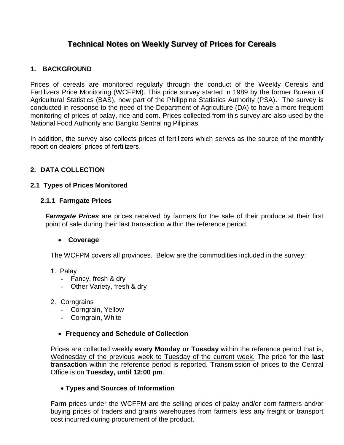# **Technical Notes on Weekly Survey of Prices for Cereals**

# **1. BACKGROUND**

Prices of cereals are monitored regularly through the conduct of the Weekly Cereals and Fertilizers Price Monitoring (WCFPM). This price survey started in 1989 by the former Bureau of Agricultural Statistics (BAS), now part of the Philippine Statistics Authority (PSA). The survey is conducted in response to the need of the Department of Agriculture (DA) to have a more frequent monitoring of prices of palay, rice and corn. Prices collected from this survey are also used by the National Food Authority and Bangko Sentral ng Pilipinas.

In addition, the survey also collects prices of fertilizers which serves as the source of the monthly report on dealers' prices of fertilizers.

# **2. DATA COLLECTION**

#### **2.1 Types of Prices Monitored**

#### **2.1.1 Farmgate Prices**

*Farmgate Prices* are prices received by farmers for the sale of their produce at their first point of sale during their last transaction within the reference period.

#### **Coverage**

The WCFPM covers all provinces. Below are the commodities included in the survey:

- 1. Palay
	- Fancy, fresh & dry
	- Other Variety, fresh & dry
- 2. Corngrains
	- Corngrain, Yellow
	- Corngrain, White

#### **Frequency and Schedule of Collection**

Prices are collected weekly **every Monday or Tuesday** within the reference period that is, Wednesday of the previous week to Tuesday of the current week. The price for the **last transaction** within the reference period is reported. Transmission of prices to the Central Office is on **Tuesday, until 12:00 pm**.

#### **Types and Sources of Information**

Farm prices under the WCFPM are the selling prices of palay and/or corn farmers and/or buying prices of traders and grains warehouses from farmers less any freight or transport cost incurred during procurement of the product.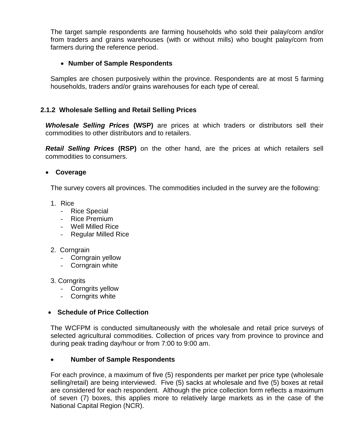The target sample respondents are farming households who sold their palay/corn and/or from traders and grains warehouses (with or without mills) who bought palay/corn from farmers during the reference period.

# **Number of Sample Respondents**

Samples are chosen purposively within the province. Respondents are at most 5 farming households, traders and/or grains warehouses for each type of cereal.

# **2.1.2 Wholesale Selling and Retail Selling Prices**

*Wholesale Selling Prices* **(WSP)** are prices at which traders or distributors sell their commodities to other distributors and to retailers.

*Retail Selling Prices* **(RSP)** on the other hand, are the prices at which retailers sell commodities to consumers.

### **Coverage**

The survey covers all provinces. The commodities included in the survey are the following:

- 1. Rice
	- Rice Special
	- Rice Premium
	- Well Milled Rice
	- Regular Milled Rice
- 2. Corngrain
	- Corngrain yellow
	- Corngrain white
- 3. Corngrits
	- Corngrits yellow
	- Corngrits white

#### **Schedule of Price Collection**

The WCFPM is conducted simultaneously with the wholesale and retail price surveys of selected agricultural commodities. Collection of prices vary from province to province and during peak trading day/hour or from 7:00 to 9:00 am.

# **Number of Sample Respondents**

For each province, a maximum of five (5) respondents per market per price type (wholesale selling/retail) are being interviewed. Five (5) sacks at wholesale and five (5) boxes at retail are considered for each respondent. Although the price collection form reflects a maximum of seven (7) boxes, this applies more to relatively large markets as in the case of the National Capital Region (NCR).